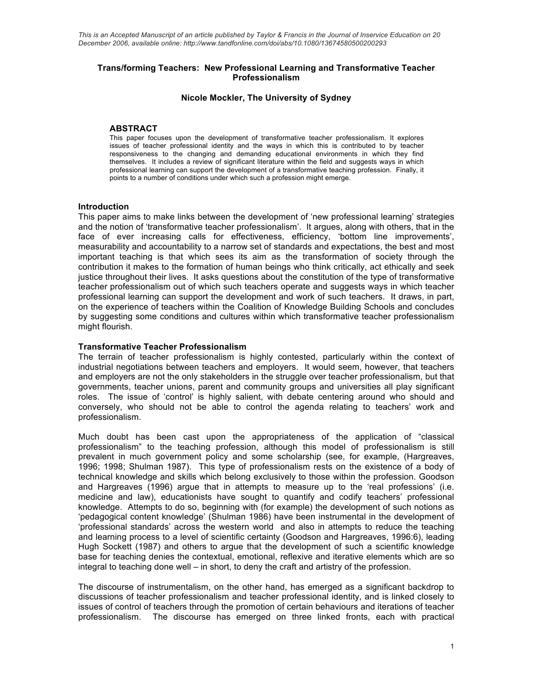## **Trans/forming Teachers: New Professional Learning and Transformative Teacher Professionalism**

## **Nicole Mockler, The University of Sydney**

#### **ABSTRACT**

This paper focuses upon the development of transformative teacher professionalism. It explores issues of teacher professional identity and the ways in which this is contributed to by teacher responsiveness to the changing and demanding educational environments in which they find themselves. It includes a review of significant literature within the field and suggests ways in which professional learning can support the development of a transformative teaching profession. Finally, it points to a number of conditions under which such a profession might emerge.

#### **Introduction**

This paper aims to make links between the development of 'new professional learning' strategies and the notion of 'transformative teacher professionalism'. It argues, along with others, that in the face of ever increasing calls for effectiveness, efficiency, 'bottom line improvements', measurability and accountability to a narrow set of standards and expectations, the best and most important teaching is that which sees its aim as the transformation of society through the contribution it makes to the formation of human beings who think critically, act ethically and seek justice throughout their lives. It asks questions about the constitution of the type of transformative teacher professionalism out of which such teachers operate and suggests ways in which teacher professional learning can support the development and work of such teachers. It draws, in part, on the experience of teachers within the Coalition of Knowledge Building Schools and concludes by suggesting some conditions and cultures within which transformative teacher professionalism might flourish.

#### **Transformative Teacher Professionalism**

The terrain of teacher professionalism is highly contested, particularly within the context of industrial negotiations between teachers and employers. It would seem, however, that teachers and employers are not the only stakeholders in the struggle over teacher professionalism, but that governments, teacher unions, parent and community groups and universities all play significant roles. The issue of 'control' is highly salient, with debate centering around who should and conversely, who should not be able to control the agenda relating to teachers' work and professionalism.

Much doubt has been cast upon the appropriateness of the application of "classical professionalism" to the teaching profession, although this model of professionalism is still prevalent in much government policy and some scholarship (see, for example, (Hargreaves, 1996; 1998; Shulman 1987). This type of professionalism rests on the existence of a body of technical knowledge and skills which belong exclusively to those within the profession. Goodson and Hargreaves (1996) argue that in attempts to measure up to the 'real professions' (i.e. medicine and law), educationists have sought to quantify and codify teachers' professional knowledge. Attempts to do so, beginning with (for example) the development of such notions as 'pedagogical content knowledge' (Shulman 1986) have been instrumental in the development of 'professional standards' across the western world and also in attempts to reduce the teaching and learning process to a level of scientific certainty (Goodson and Hargreaves, 1996:6), leading Hugh Sockett (1987) and others to argue that the development of such a scientific knowledge base for teaching denies the contextual, emotional, reflexive and iterative elements which are so integral to teaching done well – in short, to deny the craft and artistry of the profession.

The discourse of instrumentalism, on the other hand, has emerged as a significant backdrop to discussions of teacher professionalism and teacher professional identity, and is linked closely to issues of control of teachers through the promotion of certain behaviours and iterations of teacher professionalism. The discourse has emerged on three linked fronts, each with practical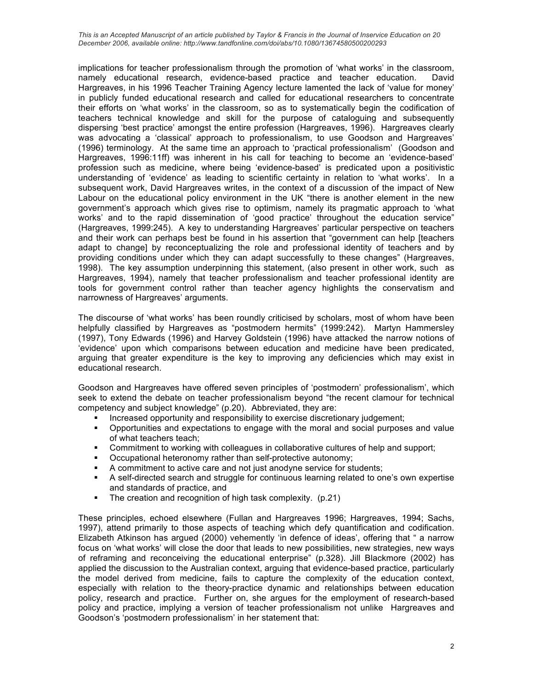implications for teacher professionalism through the promotion of 'what works' in the classroom, namely educational research, evidence-based practice and teacher education. David Hargreaves, in his 1996 Teacher Training Agency lecture lamented the lack of 'value for money' in publicly funded educational research and called for educational researchers to concentrate their efforts on 'what works' in the classroom, so as to systematically begin the codification of teachers technical knowledge and skill for the purpose of cataloguing and subsequently dispersing 'best practice' amongst the entire profession (Hargreaves, 1996). Hargreaves clearly was advocating a 'classical' approach to professionalism, to use Goodson and Hargreaves' (1996) terminology. At the same time an approach to 'practical professionalism' (Goodson and Hargreaves, 1996:11ff) was inherent in his call for teaching to become an 'evidence-based' profession such as medicine, where being 'evidence-based' is predicated upon a positivistic understanding of 'evidence' as leading to scientific certainty in relation to 'what works'. In a subsequent work, David Hargreaves writes, in the context of a discussion of the impact of New Labour on the educational policy environment in the UK "there is another element in the new government's approach which gives rise to optimism, namely its pragmatic approach to 'what works' and to the rapid dissemination of 'good practice' throughout the education service" (Hargreaves, 1999:245). A key to understanding Hargreaves' particular perspective on teachers and their work can perhaps best be found in his assertion that "government can help [teachers adapt to change] by reconceptualizing the role and professional identity of teachers and by providing conditions under which they can adapt successfully to these changes" (Hargreaves, 1998). The key assumption underpinning this statement, (also present in other work, such as Hargreaves, 1994), namely that teacher professionalism and teacher professional identity are tools for government control rather than teacher agency highlights the conservatism and narrowness of Hargreaves' arguments.

The discourse of 'what works' has been roundly criticised by scholars, most of whom have been helpfully classified by Hargreaves as "postmodern hermits" (1999:242). Martyn Hammersley (1997), Tony Edwards (1996) and Harvey Goldstein (1996) have attacked the narrow notions of 'evidence' upon which comparisons between education and medicine have been predicated, arguing that greater expenditure is the key to improving any deficiencies which may exist in educational research.

Goodson and Hargreaves have offered seven principles of 'postmodern' professionalism', which seek to extend the debate on teacher professionalism beyond "the recent clamour for technical competency and subject knowledge" (p.20). Abbreviated, they are:

- ! Increased opportunity and responsibility to exercise discretionary judgement;
- ! Opportunities and expectations to engage with the moral and social purposes and value of what teachers teach;
- ! Commitment to working with colleagues in collaborative cultures of help and support;
- ! Occupational heteronomy rather than self-protective autonomy;
- ! A commitment to active care and not just anodyne service for students;
- ! A self-directed search and struggle for continuous learning related to one's own expertise and standards of practice, and
- **The creation and recognition of high task complexity.** (p.21)

These principles, echoed elsewhere (Fullan and Hargreaves 1996; Hargreaves, 1994; Sachs, 1997), attend primarily to those aspects of teaching which defy quantification and codification. Elizabeth Atkinson has argued (2000) vehemently 'in defence of ideas', offering that " a narrow focus on 'what works' will close the door that leads to new possibilities, new strategies, new ways of reframing and reconceiving the educational enterprise" (p.328). Jill Blackmore (2002) has applied the discussion to the Australian context, arguing that evidence-based practice, particularly the model derived from medicine, fails to capture the complexity of the education context, especially with relation to the theory-practice dynamic and relationships between education policy, research and practice. Further on, she argues for the employment of research-based policy and practice, implying a version of teacher professionalism not unlike Hargreaves and Goodson's 'postmodern professionalism' in her statement that: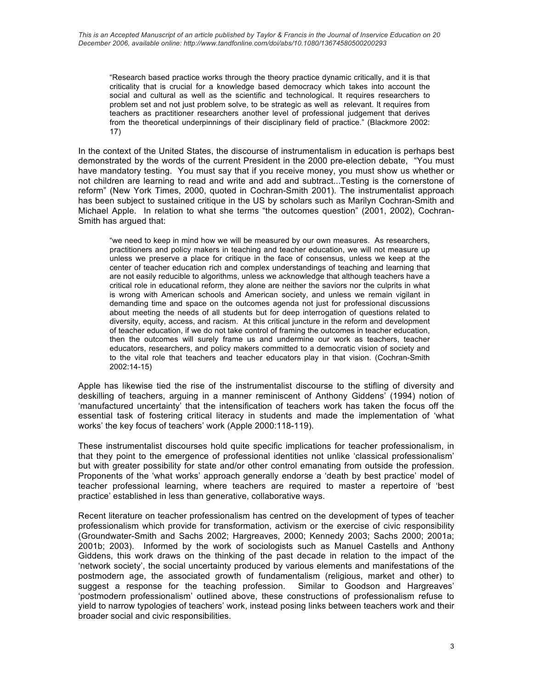"Research based practice works through the theory practice dynamic critically, and it is that criticality that is crucial for a knowledge based democracy which takes into account the social and cultural as well as the scientific and technological. It requires researchers to problem set and not just problem solve, to be strategic as well as relevant. It requires from teachers as practitioner researchers another level of professional judgement that derives from the theoretical underpinnings of their disciplinary field of practice." (Blackmore 2002: 17)

In the context of the United States, the discourse of instrumentalism in education is perhaps best demonstrated by the words of the current President in the 2000 pre-election debate, "You must have mandatory testing. You must say that if you receive money, you must show us whether or not children are learning to read and write and add and subtract...Testing is the cornerstone of reform" (New York Times, 2000, quoted in Cochran-Smith 2001). The instrumentalist approach has been subject to sustained critique in the US by scholars such as Marilyn Cochran-Smith and Michael Apple. In relation to what she terms "the outcomes question" (2001, 2002), Cochran-Smith has argued that:

"we need to keep in mind how we will be measured by our own measures. As researchers, practitioners and policy makers in teaching and teacher education, we will not measure up unless we preserve a place for critique in the face of consensus, unless we keep at the center of teacher education rich and complex understandings of teaching and learning that are not easily reducible to algorithms, unless we acknowledge that although teachers have a critical role in educational reform, they alone are neither the saviors nor the culprits in what is wrong with American schools and American society, and unless we remain vigilant in demanding time and space on the outcomes agenda not just for professional discussions about meeting the needs of all students but for deep interrogation of questions related to diversity, equity, access, and racism. At this critical juncture in the reform and development of teacher education, if we do not take control of framing the outcomes in teacher education, then the outcomes will surely frame us and undermine our work as teachers, teacher educators, researchers, and policy makers committed to a democratic vision of society and to the vital role that teachers and teacher educators play in that vision. (Cochran-Smith 2002:14-15)

Apple has likewise tied the rise of the instrumentalist discourse to the stifling of diversity and deskilling of teachers, arguing in a manner reminiscent of Anthony Giddens' (1994) notion of 'manufactured uncertainty' that the intensification of teachers work has taken the focus off the essential task of fostering critical literacy in students and made the implementation of 'what works' the key focus of teachers' work (Apple 2000:118-119).

These instrumentalist discourses hold quite specific implications for teacher professionalism, in that they point to the emergence of professional identities not unlike 'classical professionalism' but with greater possibility for state and/or other control emanating from outside the profession. Proponents of the 'what works' approach generally endorse a 'death by best practice' model of teacher professional learning, where teachers are required to master a repertoire of 'best practice' established in less than generative, collaborative ways.

Recent literature on teacher professionalism has centred on the development of types of teacher professionalism which provide for transformation, activism or the exercise of civic responsibility (Groundwater-Smith and Sachs 2002; Hargreaves, 2000; Kennedy 2003; Sachs 2000; 2001a; 2001b; 2003). Informed by the work of sociologists such as Manuel Castells and Anthony Giddens, this work draws on the thinking of the past decade in relation to the impact of the 'network society', the social uncertainty produced by various elements and manifestations of the postmodern age, the associated growth of fundamentalism (religious, market and other) to suggest a response for the teaching profession. Similar to Goodson and Hargreaves' 'postmodern professionalism' outlined above, these constructions of professionalism refuse to yield to narrow typologies of teachers' work, instead posing links between teachers work and their broader social and civic responsibilities.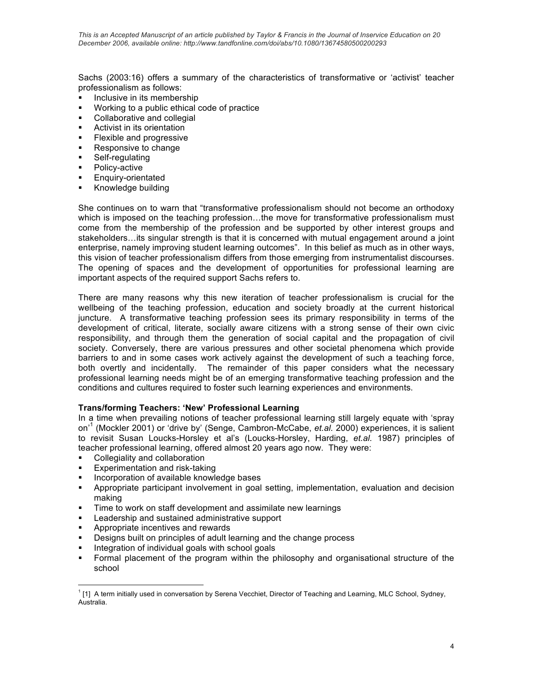Sachs (2003:16) offers a summary of the characteristics of transformative or 'activist' teacher professionalism as follows:

- Inclusive in its membership
- ! Working to a public ethical code of practice
- ! Collaborative and collegial
- ! Activist in its orientation
- **Exible and progressive**
- **EXEC** Responsive to change
- **BEDIT-regulating**
- Policy-active
- **Enquiry-orientated**
- **EXECUTE Knowledge building**

She continues on to warn that "transformative professionalism should not become an orthodoxy which is imposed on the teaching profession...the move for transformative professionalism must come from the membership of the profession and be supported by other interest groups and stakeholders…its singular strength is that it is concerned with mutual engagement around a joint enterprise, namely improving student learning outcomes". In this belief as much as in other ways, this vision of teacher professionalism differs from those emerging from instrumentalist discourses. The opening of spaces and the development of opportunities for professional learning are important aspects of the required support Sachs refers to.

There are many reasons why this new iteration of teacher professionalism is crucial for the wellbeing of the teaching profession, education and society broadly at the current historical juncture. A transformative teaching profession sees its primary responsibility in terms of the development of critical, literate, socially aware citizens with a strong sense of their own civic responsibility, and through them the generation of social capital and the propagation of civil society. Conversely, there are various pressures and other societal phenomena which provide barriers to and in some cases work actively against the development of such a teaching force, both overtly and incidentally. The remainder of this paper considers what the necessary professional learning needs might be of an emerging transformative teaching profession and the conditions and cultures required to foster such learning experiences and environments.

# **Trans/forming Teachers: 'New' Professional Learning**

In a time when prevailing notions of teacher professional learning still largely equate with 'spray on'<sup>1</sup> (Mockler 2001) or 'drive by' (Senge, Cambron-McCabe, *et.al.* 2000) experiences, it is salient to revisit Susan Loucks-Horsley et al's (Loucks-Horsley, Harding, *et.al.* 1987) principles of teacher professional learning, offered almost 20 years ago now. They were:

- ! Collegiality and collaboration
- **Experimentation and risk-taking**
- ! Incorporation of available knowledge bases
- ! Appropriate participant involvement in goal setting, implementation, evaluation and decision making
- ! Time to work on staff development and assimilate new learnings
- **EXECTE 2015** Leadership and sustained administrative support
- **EXEC** Appropriate incentives and rewards
- ! Designs built on principles of adult learning and the change process
- ! Integration of individual goals with school goals
- ! Formal placement of the program within the philosophy and organisational structure of the school

<sup>1</sup> [1] A term initially used in conversation by Serena Vecchiet, Director of Teaching and Learning, MLC School, Sydney, Australia.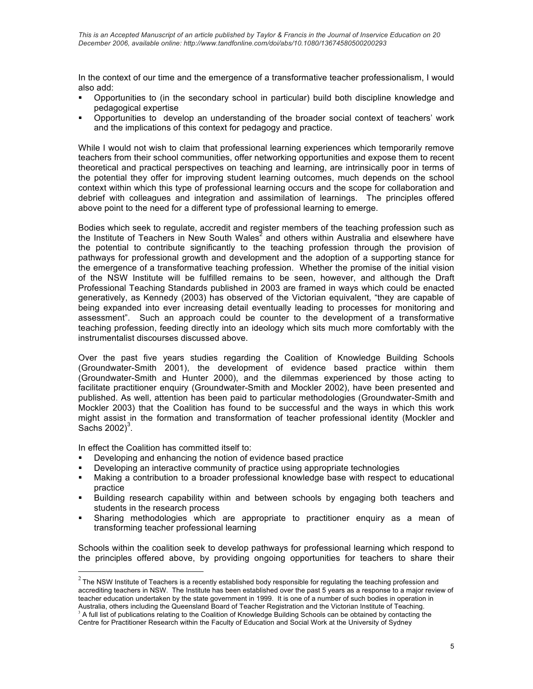In the context of our time and the emergence of a transformative teacher professionalism, I would also add:

- ! Opportunities to (in the secondary school in particular) build both discipline knowledge and pedagogical expertise
- ! Opportunities to develop an understanding of the broader social context of teachers' work and the implications of this context for pedagogy and practice.

While I would not wish to claim that professional learning experiences which temporarily remove teachers from their school communities, offer networking opportunities and expose them to recent theoretical and practical perspectives on teaching and learning, are intrinsically poor in terms of the potential they offer for improving student learning outcomes, much depends on the school context within which this type of professional learning occurs and the scope for collaboration and debrief with colleagues and integration and assimilation of learnings. The principles offered above point to the need for a different type of professional learning to emerge.

Bodies which seek to regulate, accredit and register members of the teaching profession such as the Institute of Teachers in New South Wales<sup>2</sup> and others within Australia and elsewhere have the potential to contribute significantly to the teaching profession through the provision of pathways for professional growth and development and the adoption of a supporting stance for the emergence of a transformative teaching profession. Whether the promise of the initial vision of the NSW Institute will be fulfilled remains to be seen, however, and although the Draft Professional Teaching Standards published in 2003 are framed in ways which could be enacted generatively, as Kennedy (2003) has observed of the Victorian equivalent, "they are capable of being expanded into ever increasing detail eventually leading to processes for monitoring and assessment". Such an approach could be counter to the development of a transformative teaching profession, feeding directly into an ideology which sits much more comfortably with the instrumentalist discourses discussed above.

Over the past five years studies regarding the Coalition of Knowledge Building Schools (Groundwater-Smith 2001), the development of evidence based practice within them (Groundwater-Smith and Hunter 2000), and the dilemmas experienced by those acting to facilitate practitioner enquiry (Groundwater-Smith and Mockler 2002), have been presented and published. As well, attention has been paid to particular methodologies (Groundwater-Smith and Mockler 2003) that the Coalition has found to be successful and the ways in which this work might assist in the formation and transformation of teacher professional identity (Mockler and Sachs  $2002)^3$ .

In effect the Coalition has committed itself to:

- Developing and enhancing the notion of evidence based practice
- ! Developing an interactive community of practice using appropriate technologies
- ! Making a contribution to a broader professional knowledge base with respect to educational practice
- Building research capability within and between schools by engaging both teachers and students in the research process
- ! Sharing methodologies which are appropriate to practitioner enquiry as a mean of transforming teacher professional learning

Schools within the coalition seek to develop pathways for professional learning which respond to the principles offered above, by providing ongoing opportunities for teachers to share their

 $2$  The NSW Institute of Teachers is a recently established body responsible for regulating the teaching profession and accrediting teachers in NSW. The Institute has been established over the past 5 years as a response to a major review of teacher education undertaken by the state government in 1999. It is one of a number of such bodies in operation in Australia, others including the Queensland Board of Teacher Registration and the Victorian Institute of Teaching.

<sup>&</sup>lt;sup>3</sup> A full list of publications relating to the Coalition of Knowledge Building Schools can be obtained by contacting the Centre for Practitioner Research within the Faculty of Education and Social Work at the University of Sydney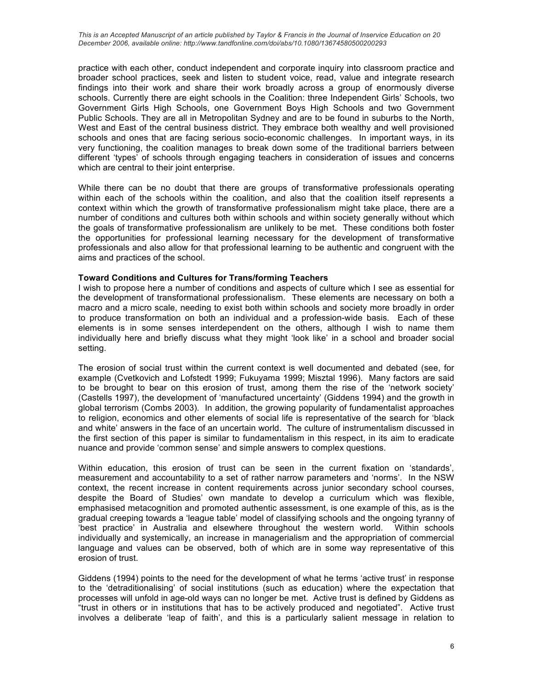practice with each other, conduct independent and corporate inquiry into classroom practice and broader school practices, seek and listen to student voice, read, value and integrate research findings into their work and share their work broadly across a group of enormously diverse schools. Currently there are eight schools in the Coalition: three Independent Girls' Schools, two Government Girls High Schools, one Government Boys High Schools and two Government Public Schools. They are all in Metropolitan Sydney and are to be found in suburbs to the North, West and East of the central business district. They embrace both wealthy and well provisioned schools and ones that are facing serious socio-economic challenges. In important ways, in its very functioning, the coalition manages to break down some of the traditional barriers between different 'types' of schools through engaging teachers in consideration of issues and concerns which are central to their joint enterprise.

While there can be no doubt that there are groups of transformative professionals operating within each of the schools within the coalition, and also that the coalition itself represents a context within which the growth of transformative professionalism might take place, there are a number of conditions and cultures both within schools and within society generally without which the goals of transformative professionalism are unlikely to be met. These conditions both foster the opportunities for professional learning necessary for the development of transformative professionals and also allow for that professional learning to be authentic and congruent with the aims and practices of the school.

# **Toward Conditions and Cultures for Trans/forming Teachers**

I wish to propose here a number of conditions and aspects of culture which I see as essential for the development of transformational professionalism. These elements are necessary on both a macro and a micro scale, needing to exist both within schools and society more broadly in order to produce transformation on both an individual and a profession-wide basis. Each of these elements is in some senses interdependent on the others, although I wish to name them individually here and briefly discuss what they might 'look like' in a school and broader social setting.

The erosion of social trust within the current context is well documented and debated (see, for example (Cvetkovich and Lofstedt 1999; Fukuyama 1999; Misztal 1996). Many factors are said to be brought to bear on this erosion of trust, among them the rise of the 'network society' (Castells 1997), the development of 'manufactured uncertainty' (Giddens 1994) and the growth in global terrorism (Combs 2003). In addition, the growing popularity of fundamentalist approaches to religion, economics and other elements of social life is representative of the search for 'black and white' answers in the face of an uncertain world. The culture of instrumentalism discussed in the first section of this paper is similar to fundamentalism in this respect, in its aim to eradicate nuance and provide 'common sense' and simple answers to complex questions.

Within education, this erosion of trust can be seen in the current fixation on 'standards', measurement and accountability to a set of rather narrow parameters and 'norms'. In the NSW context, the recent increase in content requirements across junior secondary school courses, despite the Board of Studies' own mandate to develop a curriculum which was flexible, emphasised metacognition and promoted authentic assessment, is one example of this, as is the gradual creeping towards a 'league table' model of classifying schools and the ongoing tyranny of 'best practice' in Australia and elsewhere throughout the western world. Within schools individually and systemically, an increase in managerialism and the appropriation of commercial language and values can be observed, both of which are in some way representative of this erosion of trust.

Giddens (1994) points to the need for the development of what he terms 'active trust' in response to the 'detraditionalising' of social institutions (such as education) where the expectation that processes will unfold in age-old ways can no longer be met. Active trust is defined by Giddens as "trust in others or in institutions that has to be actively produced and negotiated". Active trust involves a deliberate 'leap of faith', and this is a particularly salient message in relation to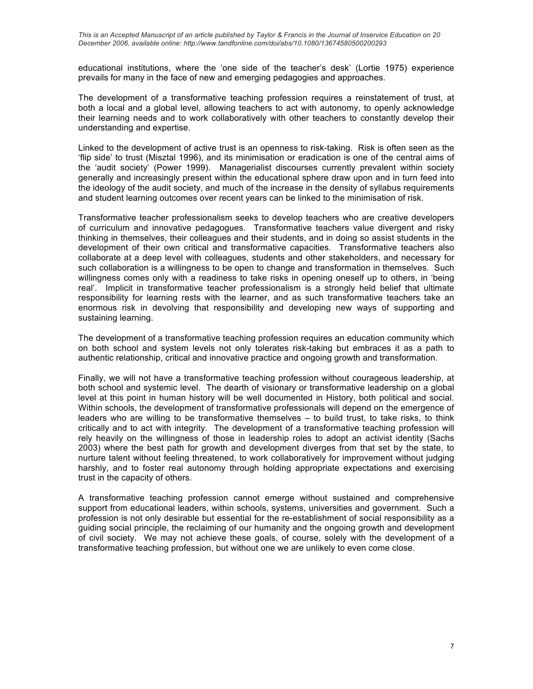educational institutions, where the 'one side of the teacher's desk' (Lortie 1975) experience prevails for many in the face of new and emerging pedagogies and approaches.

The development of a transformative teaching profession requires a reinstatement of trust, at both a local and a global level, allowing teachers to act with autonomy, to openly acknowledge their learning needs and to work collaboratively with other teachers to constantly develop their understanding and expertise.

Linked to the development of active trust is an openness to risk-taking. Risk is often seen as the 'flip side' to trust (Misztal 1996), and its minimisation or eradication is one of the central aims of the 'audit society' (Power 1999). Managerialist discourses currently prevalent within society generally and increasingly present within the educational sphere draw upon and in turn feed into the ideology of the audit society, and much of the increase in the density of syllabus requirements and student learning outcomes over recent years can be linked to the minimisation of risk.

Transformative teacher professionalism seeks to develop teachers who are creative developers of curriculum and innovative pedagogues. Transformative teachers value divergent and risky thinking in themselves, their colleagues and their students, and in doing so assist students in the development of their own critical and transformative capacities. Transformative teachers also collaborate at a deep level with colleagues, students and other stakeholders, and necessary for such collaboration is a willingness to be open to change and transformation in themselves. Such willingness comes only with a readiness to take risks in opening oneself up to others, in 'being real'. Implicit in transformative teacher professionalism is a strongly held belief that ultimate responsibility for learning rests with the learner, and as such transformative teachers take an enormous risk in devolving that responsibility and developing new ways of supporting and sustaining learning.

The development of a transformative teaching profession requires an education community which on both school and system levels not only tolerates risk-taking but embraces it as a path to authentic relationship, critical and innovative practice and ongoing growth and transformation.

Finally, we will not have a transformative teaching profession without courageous leadership, at both school and systemic level. The dearth of visionary or transformative leadership on a global level at this point in human history will be well documented in History, both political and social. Within schools, the development of transformative professionals will depend on the emergence of leaders who are willing to be transformative themselves – to build trust, to take risks, to think critically and to act with integrity. The development of a transformative teaching profession will rely heavily on the willingness of those in leadership roles to adopt an activist identity (Sachs 2003) where the best path for growth and development diverges from that set by the state, to nurture talent without feeling threatened, to work collaboratively for improvement without judging harshly, and to foster real autonomy through holding appropriate expectations and exercising trust in the capacity of others.

A transformative teaching profession cannot emerge without sustained and comprehensive support from educational leaders, within schools, systems, universities and government. Such a profession is not only desirable but essential for the re-establishment of social responsibility as a guiding social principle, the reclaiming of our humanity and the ongoing growth and development of civil society. We may not achieve these goals, of course, solely with the development of a transformative teaching profession, but without one we are unlikely to even come close.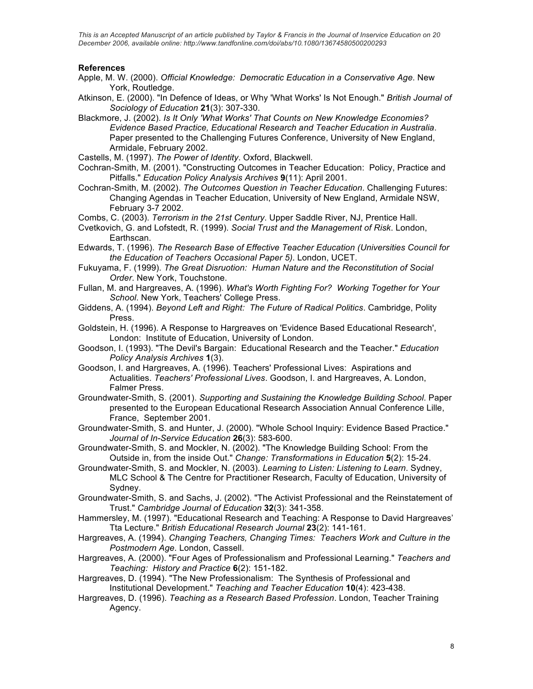*This is an Accepted Manuscript of an article published by Taylor & Francis in the Journal of Inservice Education on 20 December 2006, available online: http://www.tandfonline.com/doi/abs/10.1080/13674580500200293*

# **References**

- Apple, M. W. (2000). *Official Knowledge: Democratic Education in a Conservative Age*. New York, Routledge.
- Atkinson, E. (2000). "In Defence of Ideas, or Why 'What Works' Is Not Enough." *British Journal of Sociology of Education* **21**(3): 307-330.
- Blackmore, J. (2002). *Is It Only 'What Works' That Counts on New Knowledge Economies? Evidence Based Practice, Educational Research and Teacher Education in Australia*. Paper presented to the Challenging Futures Conference, University of New England, Armidale, February 2002.
- Castells, M. (1997). *The Power of Identity*. Oxford, Blackwell.
- Cochran-Smith, M. (2001). "Constructing Outcomes in Teacher Education: Policy, Practice and Pitfalls." *Education Policy Analysis Archives* **9**(11): April 2001.
- Cochran-Smith, M. (2002). *The Outcomes Question in Teacher Education*. Challenging Futures: Changing Agendas in Teacher Education, University of New England, Armidale NSW, February 3-7 2002.
- Combs, C. (2003). *Terrorism in the 21st Century*. Upper Saddle River, NJ, Prentice Hall.
- Cvetkovich, G. and Lofstedt, R. (1999). *Social Trust and the Management of Risk*. London, Earthscan.
- Edwards, T. (1996). *The Research Base of Effective Teacher Education (Universities Council for the Education of Teachers Occasional Paper 5)*. London, UCET.
- Fukuyama, F. (1999). *The Great Disruotion: Human Nature and the Reconstitution of Social Order*. New York, Touchstone.
- Fullan, M. and Hargreaves, A. (1996). *What's Worth Fighting For? Working Together for Your School*. New York, Teachers' College Press.
- Giddens, A. (1994). *Beyond Left and Right: The Future of Radical Politics*. Cambridge, Polity Press.
- Goldstein, H. (1996). A Response to Hargreaves on 'Evidence Based Educational Research', London: Institute of Education, University of London.
- Goodson, I. (1993). "The Devil's Bargain: Educational Research and the Teacher." *Education Policy Analysis Archives* **1**(3).
- Goodson, I. and Hargreaves, A. (1996). Teachers' Professional Lives: Aspirations and Actualities. *Teachers' Professional Lives*. Goodson, I. and Hargreaves, A. London, Falmer Press.
- Groundwater-Smith, S. (2001). *Supporting and Sustaining the Knowledge Building School*. Paper presented to the European Educational Research Association Annual Conference Lille, France, September 2001.
- Groundwater-Smith, S. and Hunter, J. (2000). "Whole School Inquiry: Evidence Based Practice." *Journal of In-Service Education* **26**(3): 583-600.
- Groundwater-Smith, S. and Mockler, N. (2002). "The Knowledge Building School: From the Outside in, from the inside Out." *Change: Transformations in Education* **5**(2): 15-24.
- Groundwater-Smith, S. and Mockler, N. (2003). *Learning to Listen: Listening to Learn*. Sydney, MLC School & The Centre for Practitioner Research, Faculty of Education, University of Sydney.
- Groundwater-Smith, S. and Sachs, J. (2002). "The Activist Professional and the Reinstatement of Trust." *Cambridge Journal of Education* **32**(3): 341-358.
- Hammersley, M. (1997). "Educational Research and Teaching: A Response to David Hargreaves' Tta Lecture." *British Educational Research Journal* **23**(2): 141-161.
- Hargreaves, A. (1994). *Changing Teachers, Changing Times: Teachers Work and Culture in the Postmodern Age*. London, Cassell.
- Hargreaves, A. (2000). "Four Ages of Professionalism and Professional Learning." *Teachers and Teaching: History and Practice* **6**(2): 151-182.
- Hargreaves, D. (1994). "The New Professionalism: The Synthesis of Professional and Institutional Development." *Teaching and Teacher Education* **10**(4): 423-438.
- Hargreaves, D. (1996). *Teaching as a Research Based Profession*. London, Teacher Training Agency.